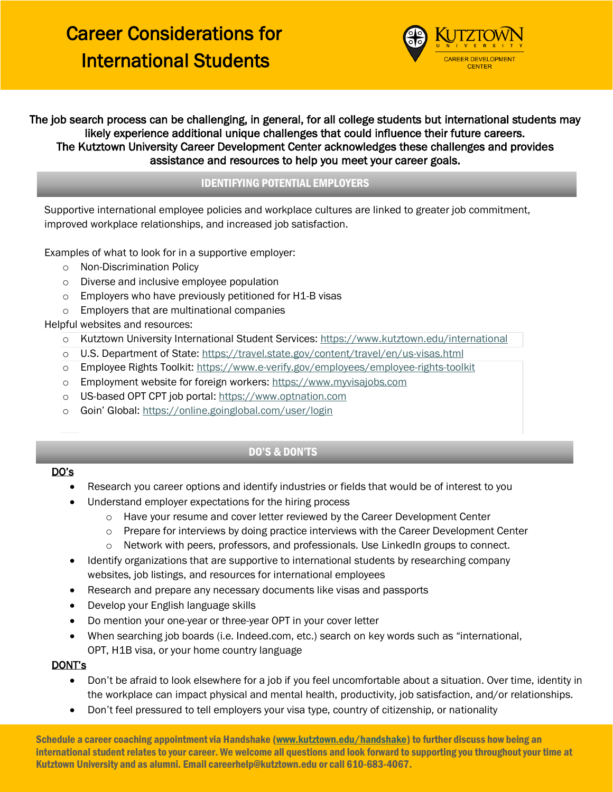

The job search process can be challenging, in general, for all college students but international students may likely experience additional unique challenges that could influence their future careers. The Kutztown University Career Development Center acknowledges these challenges and provides assistance and resources to help you meet your career goals.

## IDENTIFYING POTENTIAL EMPLOYERS

Supportive international employee policies and workplace cultures are linked to greater job commitment, improved workplace relationships, and increased job satisfaction.

Examples of what to look for in a supportive employer:

- o Non-Discrimination Policy
- o Diverse and inclusive employee population
- o Employers who have previously petitioned for H1-B visas
- o Employers that are multinational companies

Helpful websites and resources:

- o Kutztown University International Student Services:<https://www.kutztown.edu/international>
- o U.S. Department of State[: https://travel.state.gov/content/travel/en/us-visas.html](https://travel.state.gov/content/travel/en/us-visas.html)
- o Employee Rights Toolkit:<https://www.e-verify.gov/employees/employee-rights-toolkit>
- o Employment website for foreign workers[: https://www.myvisajobs.com](https://www.myvisajobs.com/)
- o US-based OPT CPT job portal: [https://www.optnation.com](https://www.optnation.com/)
- o Goin' Global: <https://online.goinglobal.com/user/login>

### DO'S & DON'TS

#### DO's

- Research you career options and identify industries or fields that would be of interest to you
- Understand employer expectations for the hiring process
	- o Have your resume and cover letter reviewed by the Career Development Center
	- $\circ$  Prepare for interviews by doing practice interviews with the Career Development Center
	- o Network with peers, professors, and professionals. Use LinkedIn groups to connect.
- Identify organizations that are supportive to international students by researching company websites, job listings, and resources for international employees
- Research and prepare any necessary documents like visas and passports
- Develop your English language skills
- Do mention your one-year or three-year OPT in your cover letter
- When searching job boards (i.e. Indeed.com, etc.) search on key words such as "international, OPT, H1B visa, or your home country language

#### DONT's

- Don't be afraid to look elsewhere for a job if you feel uncomfortable about a situation. Over time, identity in the workplace can impact physical and mental health, productivity, job satisfaction, and/or relationships.
- Don't feel pressured to tell employers your visa type, country of citizenship, or nationality

Schedule a career coaching appointment via Handshake [\(www.kutztown.edu/handshake\)](http://www.kutztown.edu/handshake) to further discuss how being an international student relates to your career. We welcome all questions and look forward to supporting you throughout your time at Kutztown University and as alumni. Email careerhelp@kutztown.edu or call 610-683-4067.